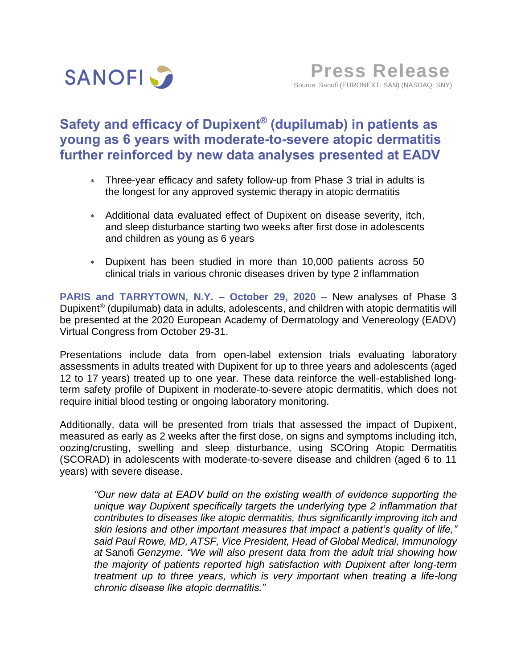

# **Safety and efficacy of Dupixent® (dupilumab) in patients as young as 6 years with moderate-to-severe atopic dermatitis further reinforced by new data analyses presented at EADV**

- Three-year efficacy and safety follow-up from Phase 3 trial in adults is the longest for any approved systemic therapy in atopic dermatitis
- Additional data evaluated effect of Dupixent on disease severity, itch, and sleep disturbance starting two weeks after first dose in adolescents and children as young as 6 years
- Dupixent has been studied in more than 10,000 patients across 50 clinical trials in various chronic diseases driven by type 2 inflammation

**PARIS and TARRYTOWN, N.Y. – October 29, 2020 –** New analyses of Phase 3 Dupixent® (dupilumab) data in adults, adolescents, and children with atopic dermatitis will be presented at the 2020 European Academy of Dermatology and Venereology (EADV) Virtual Congress from October 29-31.

Presentations include data from open-label extension trials evaluating laboratory assessments in adults treated with Dupixent for up to three years and adolescents (aged 12 to 17 years) treated up to one year. These data reinforce the well-established longterm safety profile of Dupixent in moderate-to-severe atopic dermatitis, which does not require initial blood testing or ongoing laboratory monitoring.

Additionally, data will be presented from trials that assessed the impact of Dupixent, measured as early as 2 weeks after the first dose, on signs and symptoms including itch, oozing/crusting, swelling and sleep disturbance, using SCOring Atopic Dermatitis (SCORAD) in adolescents with moderate-to-severe disease and children (aged 6 to 11 years) with severe disease.

*"Our new data at EADV build on the existing wealth of evidence supporting the unique way Dupixent specifically targets the underlying type 2 inflammation that contributes to diseases like atopic dermatitis, thus significantly improving itch and skin lesions and other important measures that impact a patient's quality of life," said Paul Rowe, MD, ATSF, Vice President, Head of Global Medical, Immunology at* Sanofi *Genzyme. "We will also present data from the adult trial showing how the majority of patients reported high satisfaction with Dupixent after long-term treatment up to three years, which is very important when treating a life-long chronic disease like atopic dermatitis."*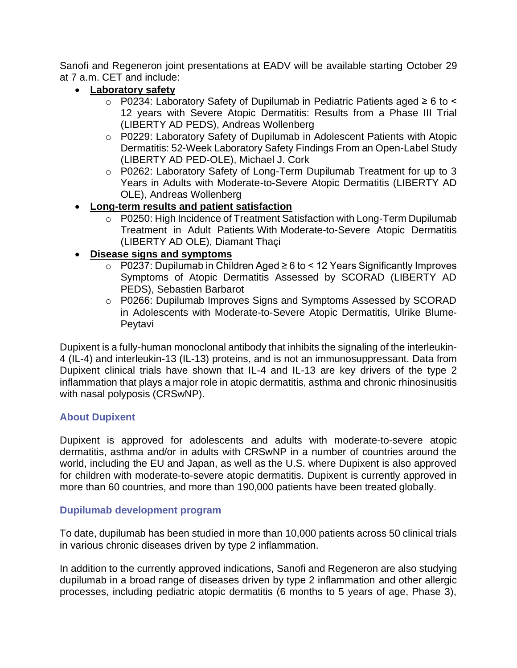Sanofi and Regeneron joint presentations at EADV will be available starting October 29 at 7 a.m. CET and include:

# • **Laboratory safety**

- o P0234: Laboratory Safety of Dupilumab in Pediatric Patients aged ≥ 6 to < 12 years with Severe Atopic Dermatitis: Results from a Phase III Trial (LIBERTY AD PEDS), Andreas Wollenberg
- o P0229: Laboratory Safety of Dupilumab in Adolescent Patients with Atopic Dermatitis: 52-Week Laboratory Safety Findings From an Open-Label Study (LIBERTY AD PED-OLE), Michael J. Cork
- o P0262: Laboratory Safety of Long-Term Dupilumab Treatment for up to 3 Years in Adults with Moderate-to-Severe Atopic Dermatitis (LIBERTY AD OLE), Andreas Wollenberg
- **Long-term results and patient satisfaction**
	- o P0250: High Incidence of Treatment Satisfaction with Long-Term Dupilumab Treatment in Adult Patients With Moderate-to-Severe Atopic Dermatitis (LIBERTY AD OLE), Diamant Thaçi

## • **Disease signs and symptoms**

- o P0237: Dupilumab in Children Aged ≥ 6 to < 12 Years Significantly Improves Symptoms of Atopic Dermatitis Assessed by SCORAD (LIBERTY AD PEDS), Sebastien Barbarot
- o P0266: Dupilumab Improves Signs and Symptoms Assessed by SCORAD in Adolescents with Moderate-to-Severe Atopic Dermatitis, Ulrike Blume-Peytavi

Dupixent is a fully-human monoclonal antibody that inhibits the signaling of the interleukin-4 (IL-4) and interleukin-13 (IL-13) proteins, and is not an immunosuppressant. Data from Dupixent clinical trials have shown that IL-4 and IL-13 are key drivers of the type 2 inflammation that plays a major role in atopic dermatitis, asthma and chronic rhinosinusitis with nasal polyposis (CRSwNP).

### **About Dupixent**

Dupixent is approved for adolescents and adults with moderate-to-severe atopic dermatitis, asthma and/or in adults with CRSwNP in a number of countries around the world, including the EU and Japan, as well as the U.S. where Dupixent is also approved for children with moderate-to-severe atopic dermatitis. Dupixent is currently approved in more than 60 countries, and more than 190,000 patients have been treated globally.

### **Dupilumab development program**

To date, dupilumab has been studied in more than 10,000 patients across 50 clinical trials in various chronic diseases driven by type 2 inflammation.

In addition to the currently approved indications, Sanofi and Regeneron are also studying dupilumab in a broad range of diseases driven by type 2 inflammation and other allergic processes, including pediatric atopic dermatitis (6 months to 5 years of age, Phase 3),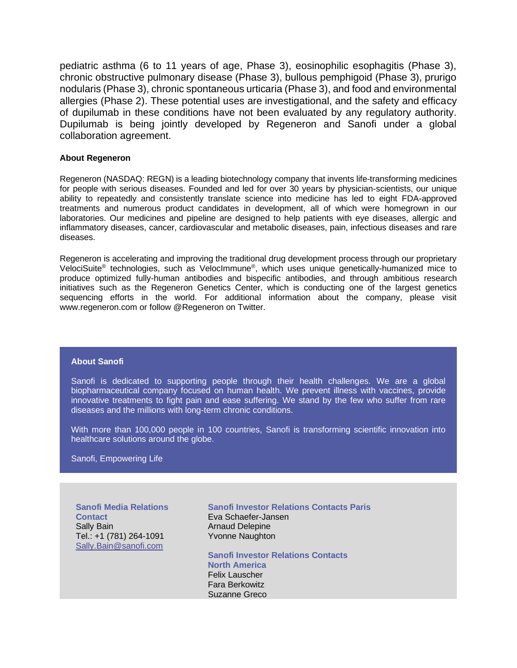pediatric asthma (6 to 11 years of age, Phase 3), eosinophilic esophagitis (Phase 3), chronic obstructive pulmonary disease (Phase 3), bullous pemphigoid (Phase 3), prurigo nodularis (Phase 3), chronic spontaneous urticaria (Phase 3), and food and environmental allergies (Phase 2). These potential uses are investigational, and the safety and efficacy of dupilumab in these conditions have not been evaluated by any regulatory authority. Dupilumab is being jointly developed by Regeneron and Sanofi under a global collaboration agreement.

### **About Regeneron**

Regeneron (NASDAQ: REGN) is a leading biotechnology company that invents life-transforming medicines for people with serious diseases. Founded and led for over 30 years by physician-scientists, our unique ability to repeatedly and consistently translate science into medicine has led to eight FDA-approved treatments and numerous product candidates in development, all of which were homegrown in our laboratories. Our medicines and pipeline are designed to help patients with eye diseases, allergic and inflammatory diseases, cancer, cardiovascular and metabolic diseases, pain, infectious diseases and rare diseases.

Regeneron is accelerating and improving the traditional drug development process through our proprietary VelociSuite<sup>®</sup> technologies, such as VelocImmune®, which uses unique genetically-humanized mice to produce optimized fully-human antibodies and bispecific antibodies, and through ambitious research initiatives such as the Regeneron Genetics Center, which is conducting one of the largest genetics sequencing efforts in the world. For additional information about the company, please visit www.regeneron.com or follow @Regeneron on Twitter.

### **About Sanofi**

Sanofi is dedicated to supporting people through their health challenges. We are a global biopharmaceutical company focused on human health. We prevent illness with vaccines, provide innovative treatments to fight pain and ease suffering. We stand by the few who suffer from rare diseases and the millions with long-term chronic conditions.

With more than 100,000 people in 100 countries, Sanofi is transforming scientific innovation into healthcare solutions around the globe.

Sanofi, Empowering Life

**Sanofi Media Relations Contact**  Sally Bain Tel.: +1 (781) 264-1091 [Sally.Bain@sanofi.com](mailto:Sally.Bain@sanofi.com)

**Sanofi Investor Relations Contacts Paris** Eva Schaefer-Jansen Arnaud Delepine Yvonne Naughton

**Sanofi Investor Relations Contacts North America** Felix Lauscher Fara Berkowitz Suzanne Greco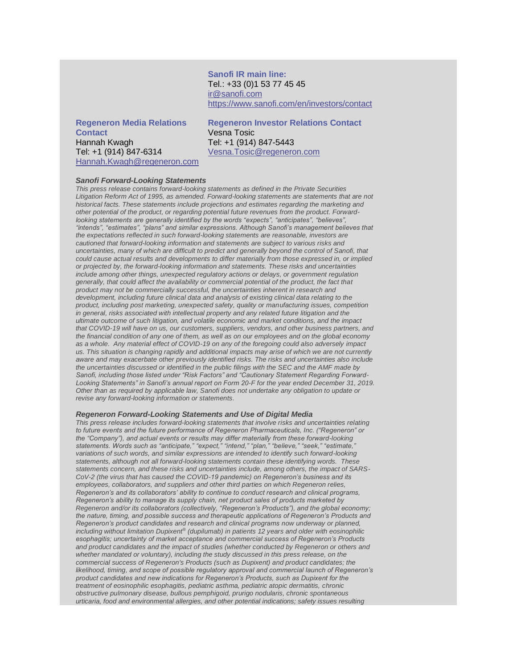### **Sanofi IR main line:** Tel.: +33 (0)1 53 77 45 45 [ir@sanofi.com](mailto:ir@sanofi.com) https://www.sanofi.com/en/investors/contact

#### **Regeneron Media Relations Contact**  Hannah Kwagh Tel: +1 (914) 847-6314 [Hannah.Kwagh@regeneron.com](mailto:Hannah.Kwagh@regeneron.com)

**Regeneron Investor Relations Contact**  Vesna Tosic Tel: +1 (914) 847-5443 [Vesna.Tosic@regeneron.com](mailto:Vesna.Tosic@regeneron.com)

#### *Sanofi Forward-Looking Statements*

*This press release contains forward-looking statements as defined in the Private Securities Litigation Reform Act of 1995, as amended. Forward-looking statements are statements that are not historical facts. These statements include projections and estimates regarding the marketing and other potential of the product, or regarding potential future revenues from the product. Forward*looking statements are generally identified by the words "expects", "anticipates", "believes", *"intends", "estimates", "plans" and similar expressions. Although Sanofi's management believes that the expectations reflected in such forward-looking statements are reasonable, investors are cautioned that forward-looking information and statements are subject to various risks and uncertainties, many of which are difficult to predict and generally beyond the control of Sanofi, that could cause actual results and developments to differ materially from those expressed in, or implied or projected by, the forward-looking information and statements. These risks and uncertainties include among other things, unexpected regulatory actions or delays, or government regulation generally, that could affect the availability or commercial potential of the product, the fact that product may not be commercially successful, the uncertainties inherent in research and development, including future clinical data and analysis of existing clinical data relating to the product, including post marketing, unexpected safety, quality or manufacturing issues, competition in general, risks associated with intellectual property and any related future litigation and the ultimate outcome of such litigation, and volatile economic and market conditions, and the impact that COVID-19 will have on us, our customers, suppliers, vendors, and other business partners, and the financial condition of any one of them, as well as on our employees and on the global economy as a whole. Any material effect of COVID-19 on any of the foregoing could also adversely impact us. This situation is changing rapidly and additional impacts may arise of which we are not currently aware and may exacerbate other previously identified risks. The risks and uncertainties also include the uncertainties discussed or identified in the public filings with the SEC and the AMF made by Sanofi, including those listed under "Risk Factors" and "Cautionary Statement Regarding Forward-*Looking Statements" in Sanofi's annual report on Form 20-F for the year ended December 31, 2019. *Other than as required by applicable law, Sanofi does not undertake any obligation to update or revise any forward-looking information or statements.*

#### *Regeneron Forward-Looking Statements and Use of Digital Media*

*This press release includes forward-looking statements that involve risks and uncertainties relating to future events and the future performance of Regeneron Pharmaceuticals, Inc. ("Regeneron" or the "Company"), and actual events or results may differ materially from these forward-looking statements. Words such as "anticipate," "expect," "intend," "plan," "believe," "seek," "estimate," variations of such words, and similar expressions are intended to identify such forward-looking statements, although not all forward-looking statements contain these identifying words. These statements concern, and these risks and uncertainties include, among others, the impact of SARS-CoV-2 (the virus that has caused the COVID-19 pandemic) on Regeneron's business and its employees, collaborators, and suppliers and other third parties on which Regeneron relies, Regeneron's and its collaborators' ability to continue to conduct research and clinical programs, Regeneron's ability to manage its supply chain, net product sales of products marketed by Regeneron and/or its collaborators (collectively, "Regeneron's Products"), and the global economy; the nature, timing, and possible success and therapeutic applications of Regeneron's Products and Regeneron's product candidates and research and clinical programs now underway or planned, including without limitation Dupixent® (dupilumab) in patients 12 years and older with eosinophilic esophagitis; uncertainty of market acceptance and commercial success of Regeneron's Products and product candidates and the impact of studies (whether conducted by Regeneron or others and whether mandated or voluntary), including the study discussed in this press release, on the commercial success of Regeneron's Products (such as Dupixent) and product candidates; the likelihood, timing, and scope of possible regulatory approval and commercial launch of Regeneron's product candidates and new indications for Regeneron's Products, such as Dupixent for the treatment of eosinophilic esophagitis, pediatric asthma, pediatric atopic dermatitis, chronic obstructive pulmonary disease, bullous pemphigoid, prurigo nodularis, chronic spontaneous urticaria, food and environmental allergies, and other potential indications; safety issues resulting*